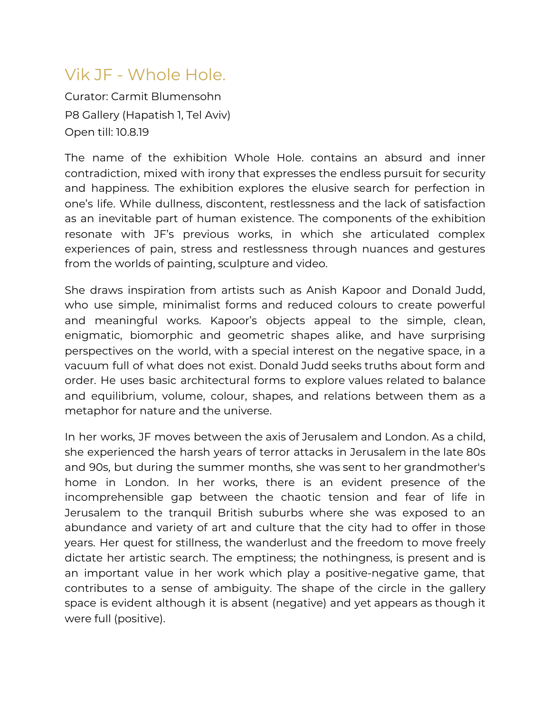## Vik JF - Whole Hole.

Curator: Carmit Blumensohn P8 Gallery (Hapatish 1, Tel Aviv) Open till: 10.8.19

The name of the exhibition Whole Hole. contains an absurd and inner contradiction, mixed with irony that expresses the endless pursuit for security and happiness. The exhibition explores the elusive search for perfection in one's life. While dullness, discontent, restlessness and the lack of satisfaction as an inevitable part of human existence. The components of the exhibition resonate with JF's previous works, in which she articulated complex experiences of pain, stress and restlessness through nuances and gestures from the worlds of painting, sculpture and video.

She draws inspiration from artists such as Anish Kapoor and Donald Judd, who use simple, minimalist forms and reduced colours to create powerful and meaningful works. Kapoor's objects appeal to the simple, clean, enigmatic, biomorphic and geometric shapes alike, and have surprising perspectives on the world, with a special interest on the negative space, in a vacuum full of what does not exist. Donald Judd seeks truths about form and order. He uses basic architectural forms to explore values related to balance and equilibrium, volume, colour, shapes, and relations between them as a metaphor for nature and the universe.

In her works, JF moves between the axis of Jerusalem and London. As a child, she experienced the harsh years of terror attacks in Jerusalem in the late 80s and 90s, but during the summer months, she was sent to her grandmother's home in London. In her works, there is an evident presence of the incomprehensible gap between the chaotic tension and fear of life in Jerusalem to the tranquil British suburbs where she was exposed to an abundance and variety of art and culture that the city had to offer in those years. Her quest for stillness, the wanderlust and the freedom to move freely dictate her artistic search. The emptiness; the nothingness, is present and is an important value in her work which play a positive-negative game, that contributes to a sense of ambiguity. The shape of the circle in the gallery space is evident although it is absent (negative) and yet appears as though it were full (positive).